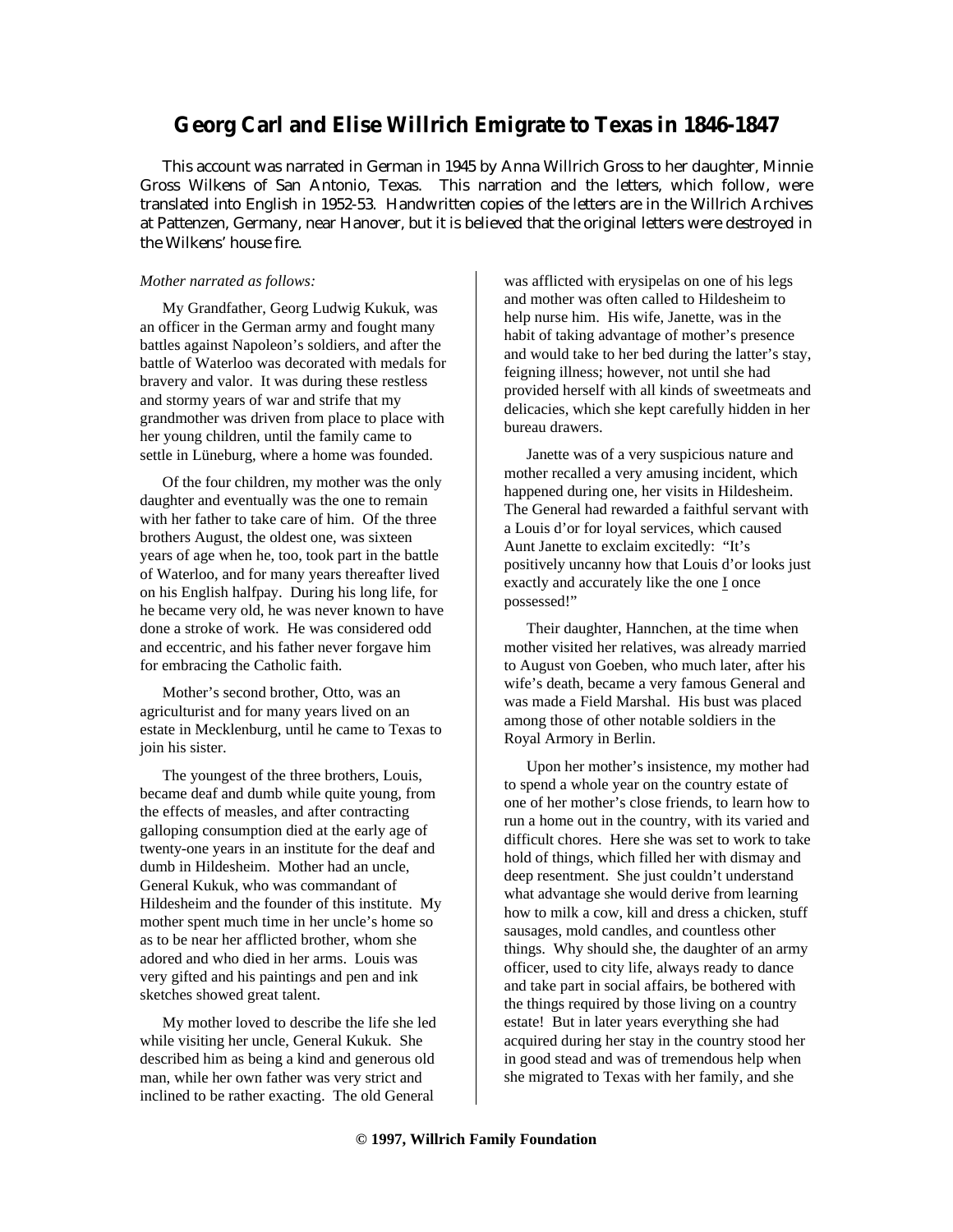## **Georg Carl and Elise Willrich Emigrate to Texas in 1846-1847**

This account was narrated in German in 1945 by Anna Willrich Gross to her daughter, Minnie Gross Wilkens of San Antonio, Texas. This narration and the letters, which follow, were translated into English in 1952-53. Handwritten copies of the letters are in the Willrich Archives at Pattenzen, Germany, near Hanover, but it is believed that the original letters were destroyed in the Wilkens' house fire.

## *Mother narrated as follows:*

My Grandfather, Georg Ludwig Kukuk, was an officer in the German army and fought many battles against Napoleon's soldiers, and after the battle of Waterloo was decorated with medals for bravery and valor. It was during these restless and stormy years of war and strife that my grandmother was driven from place to place with her young children, until the family came to settle in Lüneburg, where a home was founded.

Of the four children, my mother was the only daughter and eventually was the one to remain with her father to take care of him. Of the three brothers August, the oldest one, was sixteen years of age when he, too, took part in the battle of Waterloo, and for many years thereafter lived on his English halfpay. During his long life, for he became very old, he was never known to have done a stroke of work. He was considered odd and eccentric, and his father never forgave him for embracing the Catholic faith.

Mother's second brother, Otto, was an agriculturist and for many years lived on an estate in Mecklenburg, until he came to Texas to join his sister.

The youngest of the three brothers, Louis, became deaf and dumb while quite young, from the effects of measles, and after contracting galloping consumption died at the early age of twenty-one years in an institute for the deaf and dumb in Hildesheim. Mother had an uncle, General Kukuk, who was commandant of Hildesheim and the founder of this institute. My mother spent much time in her uncle's home so as to be near her afflicted brother, whom she adored and who died in her arms. Louis was very gifted and his paintings and pen and ink sketches showed great talent.

My mother loved to describe the life she led while visiting her uncle, General Kukuk. She described him as being a kind and generous old man, while her own father was very strict and inclined to be rather exacting. The old General

was afflicted with erysipelas on one of his legs and mother was often called to Hildesheim to help nurse him. His wife, Janette, was in the habit of taking advantage of mother's presence and would take to her bed during the latter's stay, feigning illness; however, not until she had provided herself with all kinds of sweetmeats and delicacies, which she kept carefully hidden in her bureau drawers.

Janette was of a very suspicious nature and mother recalled a very amusing incident, which happened during one, her visits in Hildesheim. The General had rewarded a faithful servant with a Louis d'or for loyal services, which caused Aunt Janette to exclaim excitedly: "It's positively uncanny how that Louis d'or looks just exactly and accurately like the one I once possessed!"

Their daughter, Hannchen, at the time when mother visited her relatives, was already married to August von Goeben, who much later, after his wife's death, became a very famous General and was made a Field Marshal. His bust was placed among those of other notable soldiers in the Royal Armory in Berlin.

Upon her mother's insistence, my mother had to spend a whole year on the country estate of one of her mother's close friends, to learn how to run a home out in the country, with its varied and difficult chores. Here she was set to work to take hold of things, which filled her with dismay and deep resentment. She just couldn't understand what advantage she would derive from learning how to milk a cow, kill and dress a chicken, stuff sausages, mold candles, and countless other things. Why should she, the daughter of an army officer, used to city life, always ready to dance and take part in social affairs, be bothered with the things required by those living on a country estate! But in later years everything she had acquired during her stay in the country stood her in good stead and was of tremendous help when she migrated to Texas with her family, and she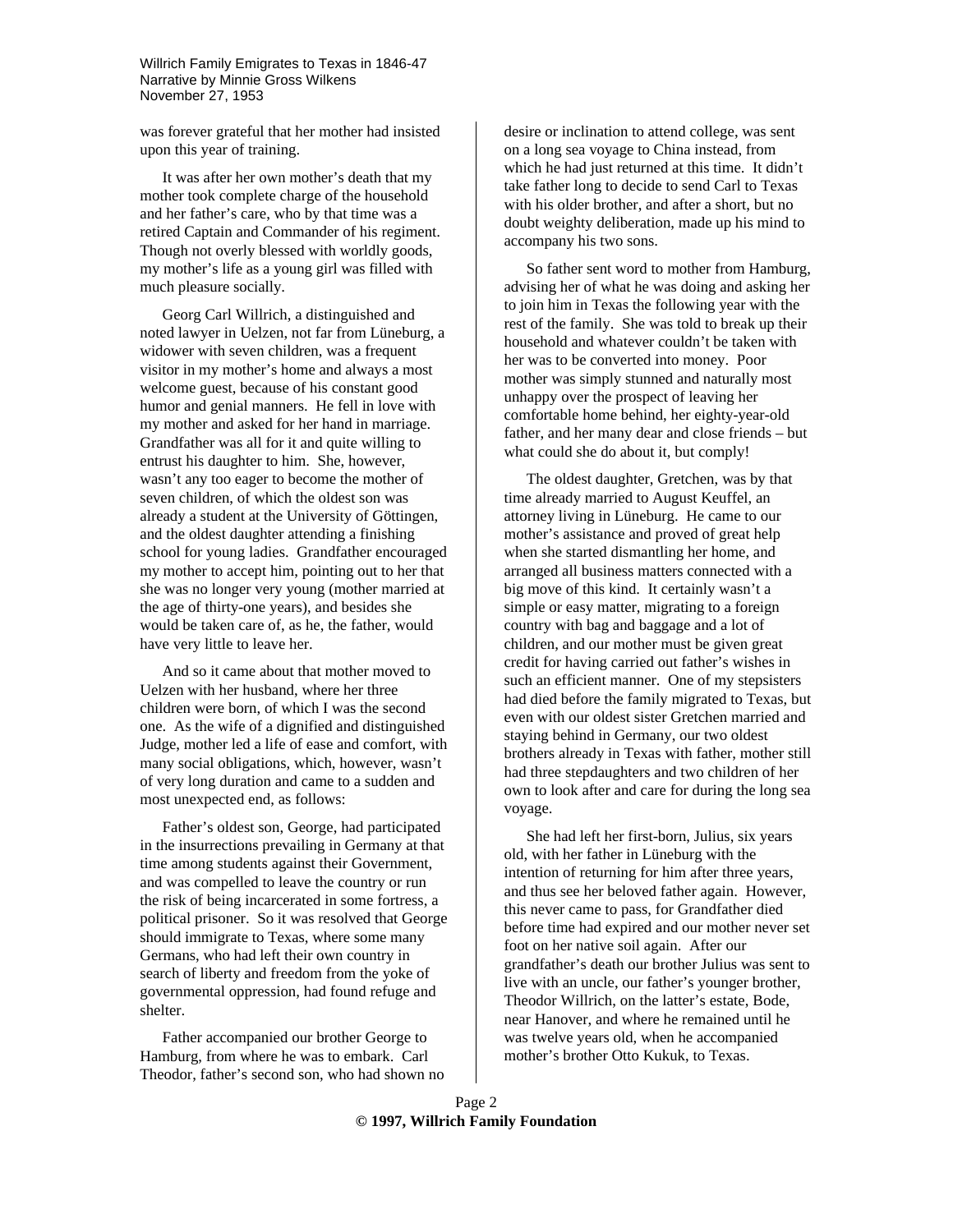Willrich Family Emigrates to Texas in 1846-47 Narrative by Minnie Gross Wilkens November 27, 1953

was forever grateful that her mother had insisted upon this year of training.

It was after her own mother's death that my mother took complete charge of the household and her father's care, who by that time was a retired Captain and Commander of his regiment. Though not overly blessed with worldly goods, my mother's life as a young girl was filled with much pleasure socially.

Georg Carl Willrich, a distinguished and noted lawyer in Uelzen, not far from Lüneburg, a widower with seven children, was a frequent visitor in my mother's home and always a most welcome guest, because of his constant good humor and genial manners. He fell in love with my mother and asked for her hand in marriage. Grandfather was all for it and quite willing to entrust his daughter to him. She, however, wasn't any too eager to become the mother of seven children, of which the oldest son was already a student at the University of Göttingen, and the oldest daughter attending a finishing school for young ladies. Grandfather encouraged my mother to accept him, pointing out to her that she was no longer very young (mother married at the age of thirty-one years), and besides she would be taken care of, as he, the father, would have very little to leave her.

And so it came about that mother moved to Uelzen with her husband, where her three children were born, of which I was the second one. As the wife of a dignified and distinguished Judge, mother led a life of ease and comfort, with many social obligations, which, however, wasn't of very long duration and came to a sudden and most unexpected end, as follows:

Father's oldest son, George, had participated in the insurrections prevailing in Germany at that time among students against their Government, and was compelled to leave the country or run the risk of being incarcerated in some fortress, a political prisoner. So it was resolved that George should immigrate to Texas, where some many Germans, who had left their own country in search of liberty and freedom from the yoke of governmental oppression, had found refuge and shelter.

Father accompanied our brother George to Hamburg, from where he was to embark. Carl Theodor, father's second son, who had shown no desire or inclination to attend college, was sent on a long sea voyage to China instead, from which he had just returned at this time. It didn't take father long to decide to send Carl to Texas with his older brother, and after a short, but no doubt weighty deliberation, made up his mind to accompany his two sons.

So father sent word to mother from Hamburg, advising her of what he was doing and asking her to join him in Texas the following year with the rest of the family. She was told to break up their household and whatever couldn't be taken with her was to be converted into money. Poor mother was simply stunned and naturally most unhappy over the prospect of leaving her comfortable home behind, her eighty-year-old father, and her many dear and close friends – but what could she do about it, but comply!

The oldest daughter, Gretchen, was by that time already married to August Keuffel, an attorney living in Lüneburg. He came to our mother's assistance and proved of great help when she started dismantling her home, and arranged all business matters connected with a big move of this kind. It certainly wasn't a simple or easy matter, migrating to a foreign country with bag and baggage and a lot of children, and our mother must be given great credit for having carried out father's wishes in such an efficient manner. One of my stepsisters had died before the family migrated to Texas, but even with our oldest sister Gretchen married and staying behind in Germany, our two oldest brothers already in Texas with father, mother still had three stepdaughters and two children of her own to look after and care for during the long sea voyage.

She had left her first-born, Julius, six years old, with her father in Lüneburg with the intention of returning for him after three years, and thus see her beloved father again. However, this never came to pass, for Grandfather died before time had expired and our mother never set foot on her native soil again. After our grandfather's death our brother Julius was sent to live with an uncle, our father's younger brother, Theodor Willrich, on the latter's estate, Bode, near Hanover, and where he remained until he was twelve years old, when he accompanied mother's brother Otto Kukuk, to Texas.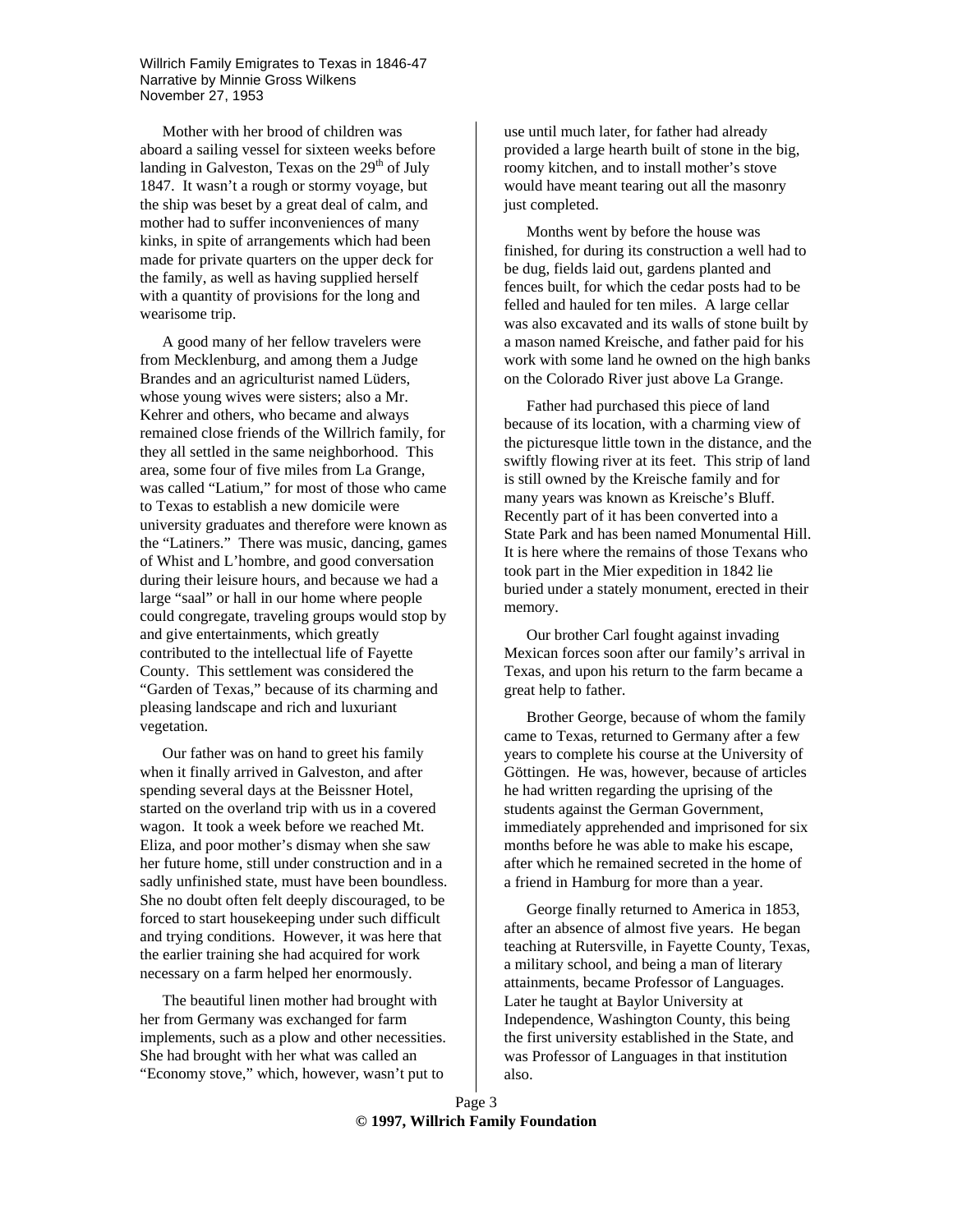Willrich Family Emigrates to Texas in 1846-47 Narrative by Minnie Gross Wilkens November 27, 1953

Mother with her brood of children was aboard a sailing vessel for sixteen weeks before landing in Galveston, Texas on the  $29<sup>th</sup>$  of July 1847. It wasn't a rough or stormy voyage, but the ship was beset by a great deal of calm, and mother had to suffer inconveniences of many kinks, in spite of arrangements which had been made for private quarters on the upper deck for the family, as well as having supplied herself with a quantity of provisions for the long and wearisome trip.

A good many of her fellow travelers were from Mecklenburg, and among them a Judge Brandes and an agriculturist named Lüders, whose young wives were sisters; also a Mr. Kehrer and others, who became and always remained close friends of the Willrich family, for they all settled in the same neighborhood. This area, some four of five miles from La Grange, was called "Latium," for most of those who came to Texas to establish a new domicile were university graduates and therefore were known as the "Latiners." There was music, dancing, games of Whist and L'hombre, and good conversation during their leisure hours, and because we had a large "saal" or hall in our home where people could congregate, traveling groups would stop by and give entertainments, which greatly contributed to the intellectual life of Fayette County. This settlement was considered the "Garden of Texas," because of its charming and pleasing landscape and rich and luxuriant vegetation.

Our father was on hand to greet his family when it finally arrived in Galveston, and after spending several days at the Beissner Hotel, started on the overland trip with us in a covered wagon. It took a week before we reached Mt. Eliza, and poor mother's dismay when she saw her future home, still under construction and in a sadly unfinished state, must have been boundless. She no doubt often felt deeply discouraged, to be forced to start housekeeping under such difficult and trying conditions. However, it was here that the earlier training she had acquired for work necessary on a farm helped her enormously.

The beautiful linen mother had brought with her from Germany was exchanged for farm implements, such as a plow and other necessities. She had brought with her what was called an "Economy stove," which, however, wasn't put to

use until much later, for father had already provided a large hearth built of stone in the big, roomy kitchen, and to install mother's stove would have meant tearing out all the masonry just completed.

Months went by before the house was finished, for during its construction a well had to be dug, fields laid out, gardens planted and fences built, for which the cedar posts had to be felled and hauled for ten miles. A large cellar was also excavated and its walls of stone built by a mason named Kreische, and father paid for his work with some land he owned on the high banks on the Colorado River just above La Grange.

Father had purchased this piece of land because of its location, with a charming view of the picturesque little town in the distance, and the swiftly flowing river at its feet. This strip of land is still owned by the Kreische family and for many years was known as Kreische's Bluff. Recently part of it has been converted into a State Park and has been named Monumental Hill. It is here where the remains of those Texans who took part in the Mier expedition in 1842 lie buried under a stately monument, erected in their memory.

Our brother Carl fought against invading Mexican forces soon after our family's arrival in Texas, and upon his return to the farm became a great help to father.

Brother George, because of whom the family came to Texas, returned to Germany after a few years to complete his course at the University of Göttingen. He was, however, because of articles he had written regarding the uprising of the students against the German Government, immediately apprehended and imprisoned for six months before he was able to make his escape, after which he remained secreted in the home of a friend in Hamburg for more than a year.

George finally returned to America in 1853, after an absence of almost five years. He began teaching at Rutersville, in Fayette County, Texas, a military school, and being a man of literary attainments, became Professor of Languages. Later he taught at Baylor University at Independence, Washington County, this being the first university established in the State, and was Professor of Languages in that institution also.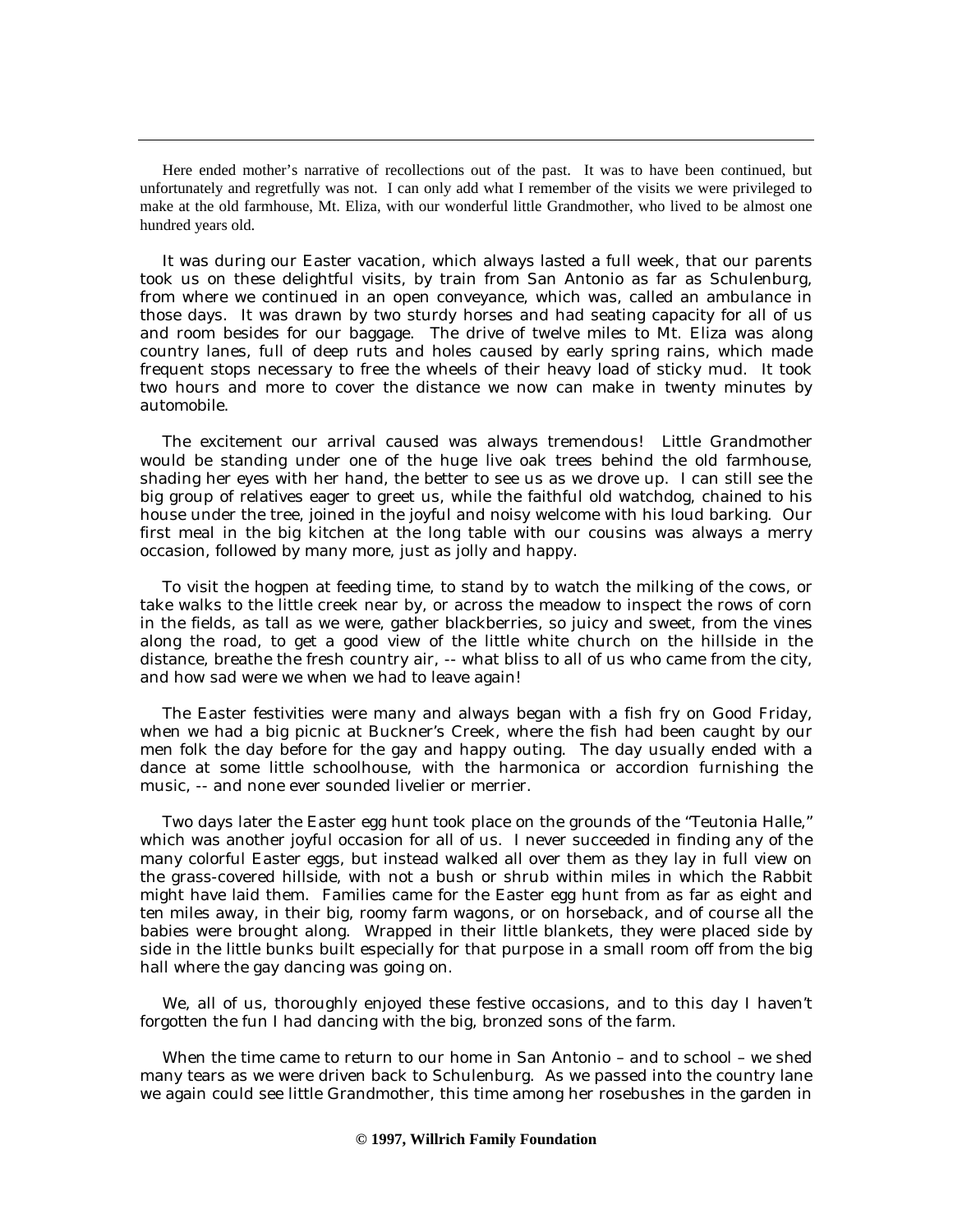Here ended mother's narrative of recollections out of the past. It was to have been continued, but unfortunately and regretfully was not. I can only add what I remember of the visits we were privileged to make at the old farmhouse, Mt. Eliza, with our wonderful little Grandmother, who lived to be almost one hundred years old.

It was during our Easter vacation, which always lasted a full week, that our parents took us on these delightful visits, by train from San Antonio as far as Schulenburg, from where we continued in an open conveyance, which was, called an ambulance in those days. It was drawn by two sturdy horses and had seating capacity for all of us and room besides for our baggage. The drive of twelve miles to Mt. Eliza was along country lanes, full of deep ruts and holes caused by early spring rains, which made frequent stops necessary to free the wheels of their heavy load of sticky mud. It took two hours and more to cover the distance we now can make in twenty minutes by automobile.

The excitement our arrival caused was always tremendous! Little Grandmother would be standing under one of the huge live oak trees behind the old farmhouse, shading her eyes with her hand, the better to see us as we drove up. I can still see the big group of relatives eager to greet us, while the faithful old watchdog, chained to his house under the tree, joined in the joyful and noisy welcome with his loud barking. Our first meal in the big kitchen at the long table with our cousins was always a merry occasion, followed by many more, just as jolly and happy.

To visit the hogpen at feeding time, to stand by to watch the milking of the cows, or take walks to the little creek near by, or across the meadow to inspect the rows of corn in the fields, as tall as we were, gather blackberries, so juicy and sweet, from the vines along the road, to get a good view of the little white church on the hillside in the distance, breathe the fresh country air, -- what bliss to all of us who came from the city, and how sad were we when we had to leave again!

The Easter festivities were many and always began with a fish fry on Good Friday, when we had a big picnic at Buckner's Creek, where the fish had been caught by our men folk the day before for the gay and happy outing. The day usually ended with a dance at some little schoolhouse, with the harmonica or accordion furnishing the music, -- and none ever sounded livelier or merrier.

Two days later the Easter egg hunt took place on the grounds of the "Teutonia Halle," which was another joyful occasion for all of us. I never succeeded in finding any of the many colorful Easter eggs, but instead walked all over them as they lay in full view on the grass-covered hillside, with not a bush or shrub within miles in which the Rabbit might have laid them. Families came for the Easter egg hunt from as far as eight and ten miles away, in their big, roomy farm wagons, or on horseback, and of course all the babies were brought along. Wrapped in their little blankets, they were placed side by side in the little bunks built especially for that purpose in a small room off from the big hall where the gay dancing was going on.

We, all of us, thoroughly enjoyed these festive occasions, and to this day I haven't forgotten the fun I had dancing with the big, bronzed sons of the farm.

When the time came to return to our home in San Antonio – and to school – we shed many tears as we were driven back to Schulenburg. As we passed into the country lane we again could see little Grandmother, this time among her rosebushes in the garden in

## **© 1997, Willrich Family Foundation**